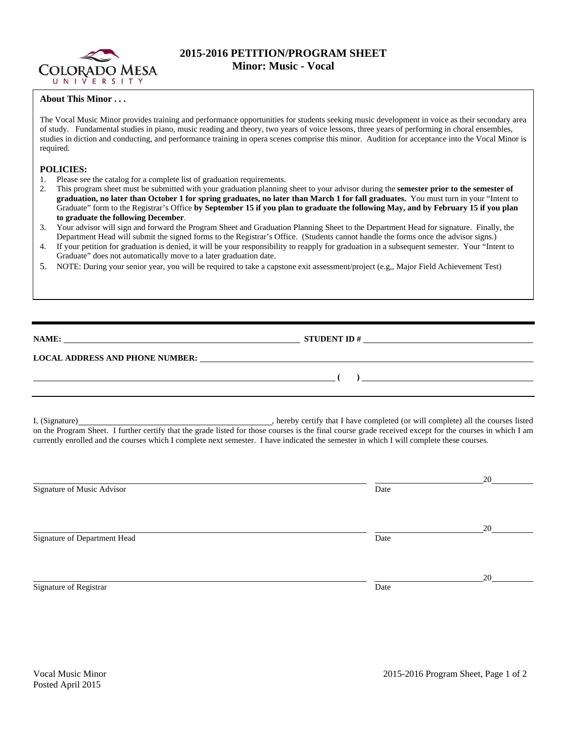

## **2015-2016 PETITION/PROGRAM SHEET Minor: Music - Vocal**

## **About This Minor . . .**

The Vocal Music Minor provides training and performance opportunities for students seeking music development in voice as their secondary area of study. Fundamental studies in piano, music reading and theory, two years of voice lessons, three years of performing in choral ensembles, studies in diction and conducting, and performance training in opera scenes comprise this minor. Audition for acceptance into the Vocal Minor is required.

## **POLICIES:**

- 1. Please see the catalog for a complete list of graduation requirements.
- 2. This program sheet must be submitted with your graduation planning sheet to your advisor during the **semester prior to the semester of graduation, no later than October 1 for spring graduates, no later than March 1 for fall graduates.** You must turn in your "Intent to Graduate" form to the Registrar's Office **by September 15 if you plan to graduate the following May, and by February 15 if you plan to graduate the following December**.
- 3. Your advisor will sign and forward the Program Sheet and Graduation Planning Sheet to the Department Head for signature. Finally, the Department Head will submit the signed forms to the Registrar's Office. (Students cannot handle the forms once the advisor signs.)
- 4. If your petition for graduation is denied, it will be your responsibility to reapply for graduation in a subsequent semester. Your "Intent to Graduate" does not automatically move to a later graduation date.
- 5. NOTE: During your senior year, you will be required to take a capstone exit assessment/project (e.g,, Major Field Achievement Test)

**NAME: STUDENT ID # STUDENT ID # STUDENT ID # STUDENT ID # STUDENT ID # STUDENT ID # STUDENT ID # STUDENT ID # STUDENT ID # STUDENT 1D + STUDENT 1D + STUDENT 1D + STUDENT 1D + STUDENT 1D + STU** 

 **(** ) <u> **(** ) **b** ( ) **c** ( ) **c** ( ) **c** ( ) **c** ( ) **c** ( ) **c** ( ) **c** ( ) **c** ( ) **c** ( ) **c** ( ) **c** ( ) **c** ( ) **c** ( ) **c** ( ) **c** ( ) **c** ( ) **c** ( ) **c** ( ) **c** ( ) **c** ( ) **c** ( ) **c** ( ) **c** ( ) **c** ( ) **c** ( )</u>

## **LOCAL ADDRESS AND PHONE NUMBER:**

I, (Signature) , hereby certify that I have completed (or will complete) all the courses listed on the Program Sheet. I further certify that the grade listed for those courses is the final course grade received except for the courses in which I am currently enrolled and the courses which I complete next semester. I have indicated the semester in which I will complete these courses.

|                              |      | 20 |
|------------------------------|------|----|
| Signature of Music Advisor   | Date |    |
|                              |      |    |
|                              |      | 20 |
| Signature of Department Head | Date |    |
|                              |      |    |
|                              |      | 20 |
| Signature of Registrar       | Date |    |
|                              |      |    |